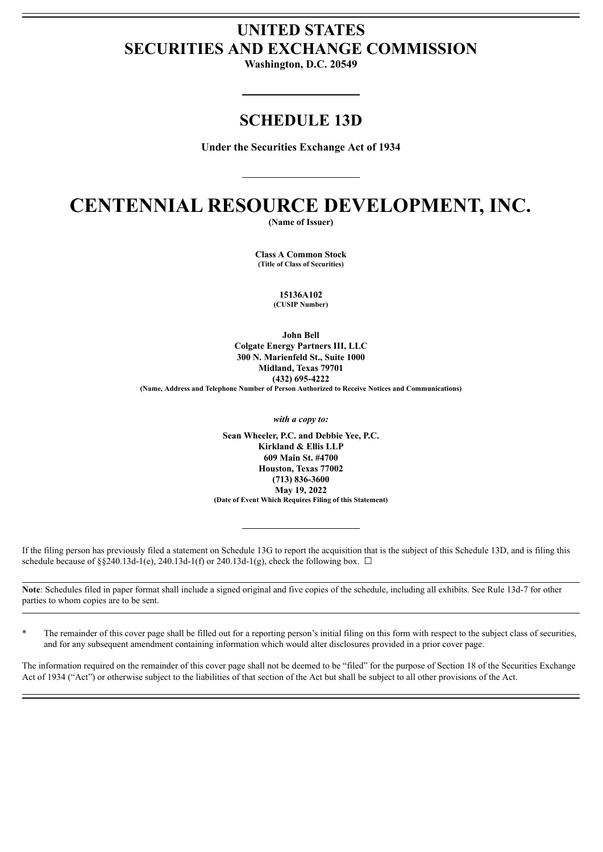# **UNITED STATES SECURITIES AND EXCHANGE COMMISSION**

**Washington, D.C. 20549**

## **SCHEDULE 13D**

**Under the Securities Exchange Act of 1934**

# **CENTENNIAL RESOURCE DEVELOPMENT, INC.**

**(Name of Issuer)**

**Class A Common Stock (Title of Class of Securities)**

> **15136A102 (CUSIP Number)**

**John Bell Colgate Energy Partners III, LLC 300 N. Marienfeld St., Suite 1000 Midland, Texas 79701 (432) 695-4222 (Name, Address and Telephone Number of Person Authorized to Receive Notices and Communications)**

*with a copy to:*

**Sean Wheeler, P.C. and Debbie Yee, P.C. Kirkland & Ellis LLP 609 Main St. #4700 Houston, Texas 77002 (713) 836-3600 May 19, 2022 (Date of Event Which Requires Filing of this Statement)**

If the filing person has previously filed a statement on Schedule 13G to report the acquisition that is the subject of this Schedule 13D, and is filing this schedule because of §§240.13d-1(e), 240.13d-1(f) or 240.13d-1(g), check the following box.  $\Box$ 

**Note**: Schedules filed in paper format shall include a signed original and five copies of the schedule, including all exhibits. See Rule 13d-7 for other parties to whom copies are to be sent.

The remainder of this cover page shall be filled out for a reporting person's initial filing on this form with respect to the subject class of securities, and for any subsequent amendment containing information which would alter disclosures provided in a prior cover page.

The information required on the remainder of this cover page shall not be deemed to be "filed" for the purpose of Section 18 of the Securities Exchange Act of 1934 ("Act") or otherwise subject to the liabilities of that section of the Act but shall be subject to all other provisions of the Act.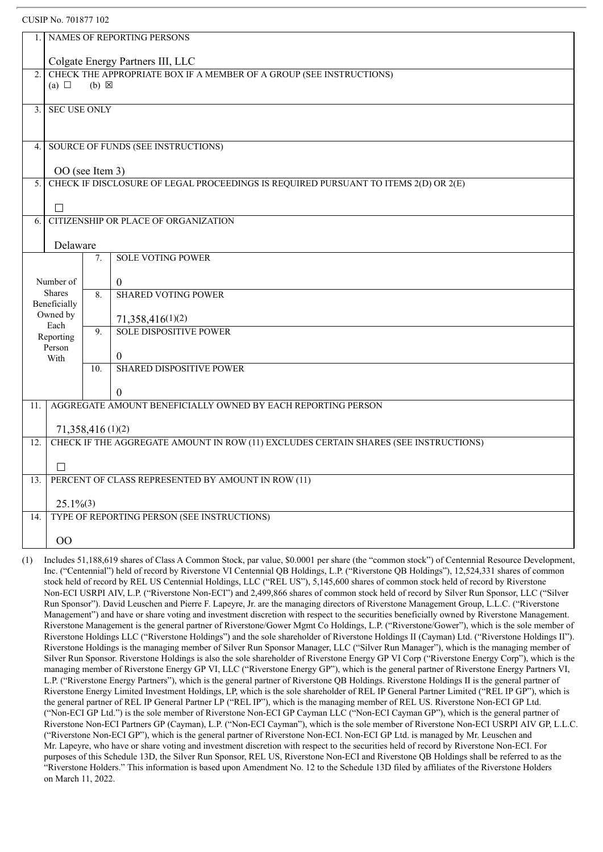|                                          | CUSIP No. 701877 102                                                                                                                        |     |                                                    |  |  |  |  |
|------------------------------------------|---------------------------------------------------------------------------------------------------------------------------------------------|-----|----------------------------------------------------|--|--|--|--|
| 1.                                       | NAMES OF REPORTING PERSONS                                                                                                                  |     |                                                    |  |  |  |  |
|                                          | Colgate Energy Partners III, LLC                                                                                                            |     |                                                    |  |  |  |  |
| 2.                                       | CHECK THE APPROPRIATE BOX IF A MEMBER OF A GROUP (SEE INSTRUCTIONS)<br>(a) $\Box$<br>$(b) \boxtimes$                                        |     |                                                    |  |  |  |  |
|                                          |                                                                                                                                             |     |                                                    |  |  |  |  |
| <b>SEC USE ONLY</b><br>3 <sub>1</sub>    |                                                                                                                                             |     |                                                    |  |  |  |  |
|                                          |                                                                                                                                             |     |                                                    |  |  |  |  |
| SOURCE OF FUNDS (SEE INSTRUCTIONS)<br>4. |                                                                                                                                             |     |                                                    |  |  |  |  |
| 5.                                       | OO (see Item 3)<br>CHECK IF DISCLOSURE OF LEGAL PROCEEDINGS IS REQUIRED PURSUANT TO ITEMS 2(D) OR 2(E)                                      |     |                                                    |  |  |  |  |
|                                          |                                                                                                                                             |     |                                                    |  |  |  |  |
| 6.                                       | П                                                                                                                                           |     | CITIZENSHIP OR PLACE OF ORGANIZATION               |  |  |  |  |
|                                          |                                                                                                                                             |     |                                                    |  |  |  |  |
|                                          | Delaware                                                                                                                                    |     |                                                    |  |  |  |  |
|                                          |                                                                                                                                             | 7.  | <b>SOLE VOTING POWER</b>                           |  |  |  |  |
|                                          | Number of<br><b>Shares</b>                                                                                                                  |     | $\overline{0}$                                     |  |  |  |  |
|                                          | Beneficially                                                                                                                                | 8.  | <b>SHARED VOTING POWER</b>                         |  |  |  |  |
|                                          | Owned by<br>Each                                                                                                                            |     | 71,358,416(1)(2)                                   |  |  |  |  |
|                                          | Reporting                                                                                                                                   | 9.  | <b>SOLE DISPOSITIVE POWER</b>                      |  |  |  |  |
|                                          | Person<br>With                                                                                                                              |     | $\boldsymbol{0}$                                   |  |  |  |  |
|                                          |                                                                                                                                             | 10. | <b>SHARED DISPOSITIVE POWER</b>                    |  |  |  |  |
|                                          |                                                                                                                                             |     | $\boldsymbol{0}$                                   |  |  |  |  |
| 11.                                      | AGGREGATE AMOUNT BENEFICIALLY OWNED BY EACH REPORTING PERSON                                                                                |     |                                                    |  |  |  |  |
| 71,358,416 (1)(2)                        |                                                                                                                                             |     |                                                    |  |  |  |  |
| 12.                                      | CHECK IF THE AGGREGATE AMOUNT IN ROW (11) EXCLUDES CERTAIN SHARES (SEE INSTRUCTIONS)                                                        |     |                                                    |  |  |  |  |
| $\Box$                                   |                                                                                                                                             |     |                                                    |  |  |  |  |
| 13.                                      |                                                                                                                                             |     | PERCENT OF CLASS REPRESENTED BY AMOUNT IN ROW (11) |  |  |  |  |
|                                          | $25.1\%$ (3)                                                                                                                                |     |                                                    |  |  |  |  |
| 14.                                      | TYPE OF REPORTING PERSON (SEE INSTRUCTIONS)                                                                                                 |     |                                                    |  |  |  |  |
|                                          | 00                                                                                                                                          |     |                                                    |  |  |  |  |
|                                          | (1) Includes 51,188,610 shares of Class A Common Stock per value \$0,0001 per share (the "common stock") of Centennial Resource Development |     |                                                    |  |  |  |  |

shares of Class A Common Stock, par value, \$0.0001 per share (the "common stock") of Centennial Resource Development, Inc. ("Centennial") held of record by Riverstone VI Centennial QB Holdings, L.P. ("Riverstone QB Holdings"), 12,524,331 shares of common stock held of record by REL US Centennial Holdings, LLC ("REL US"), 5,145,600 shares of common stock held of record by Riverstone Non-ECI USRPI AIV, L.P. ("Riverstone Non-ECI") and 2,499,866 shares of common stock held of record by Silver Run Sponsor, LLC ("Silver Run Sponsor"). David Leuschen and Pierre F. Lapeyre, Jr. are the managing directors of Riverstone Management Group, L.L.C. ("Riverstone Management") and have or share voting and investment discretion with respect to the securities beneficially owned by Riverstone Management. Riverstone Management is the general partner of Riverstone/Gower Mgmt Co Holdings, L.P. ("Riverstone/Gower"), which is the sole member of Riverstone Holdings LLC ("Riverstone Holdings") and the sole shareholder of Riverstone Holdings II (Cayman) Ltd. ("Riverstone Holdings II"). Riverstone Holdings is the managing member of Silver Run Sponsor Manager, LLC ("Silver Run Manager"), which is the managing member of Silver Run Sponsor. Riverstone Holdings is also the sole shareholder of Riverstone Energy GP VI Corp ("Riverstone Energy Corp"), which is the managing member of Riverstone Energy GP VI, LLC ("Riverstone Energy GP"), which is the general partner of Riverstone Energy Partners VI, L.P. ("Riverstone Energy Partners"), which is the general partner of Riverstone QB Holdings. Riverstone Holdings II is the general partner of Riverstone Energy Limited Investment Holdings, LP, which is the sole shareholder of REL IP General Partner Limited ("REL IP GP"), which is the general partner of REL IP General Partner LP ("REL IP"), which is the managing member of REL US. Riverstone Non-ECI GP Ltd. ("Non-ECI GP Ltd.") is the sole member of Riverstone Non-ECI GP Cayman LLC ("Non-ECI Cayman GP"), which is the general partner of Riverstone Non-ECI Partners GP (Cayman), L.P. ("Non-ECI Cayman"), which is the sole member of Riverstone Non-ECI USRPI AIV GP, L.L.C. ("Riverstone Non-ECI GP"), which is the general partner of Riverstone Non-ECI. Non-ECI GP Ltd. is managed by Mr. Leuschen and Mr. Lapeyre, who have or share voting and investment discretion with respect to the securities held of record by Riverstone Non-ECI. For purposes of this Schedule 13D, the Silver Run Sponsor, REL US, Riverstone Non-ECI and Riverstone QB Holdings shall be referred to as the "Riverstone Holders." This information is based upon Amendment No. 12 to the Schedule 13D filed by affiliates of the Riverstone Holders on March 11, 2022.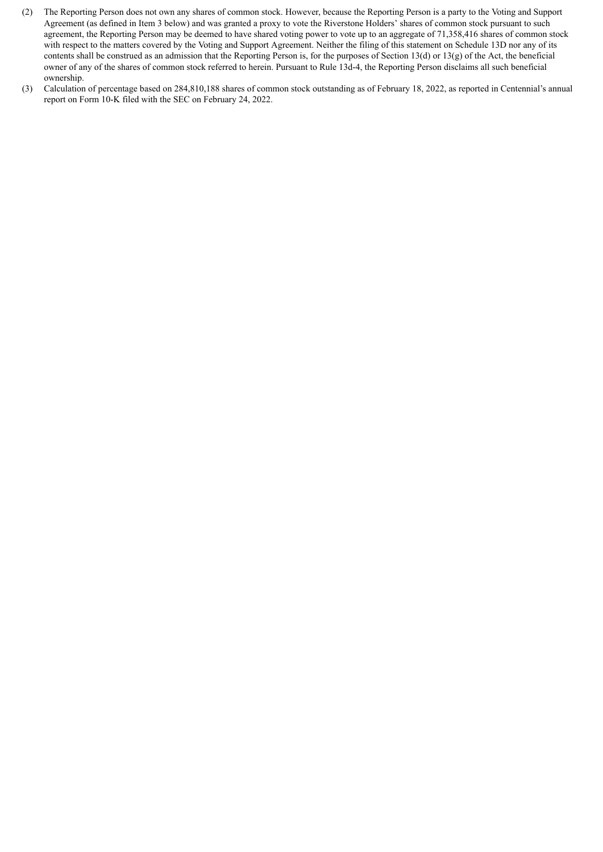- (2) The Reporting Person does not own any shares of common stock. However, because the Reporting Person is a party to the Voting and Support Agreement (as defined in Item 3 below) and was granted a proxy to vote the Riverstone Holders' shares of common stock pursuant to such agreement, the Reporting Person may be deemed to have shared voting power to vote up to an aggregate of 71,358,416 shares of common stock with respect to the matters covered by the Voting and Support Agreement. Neither the filing of this statement on Schedule 13D nor any of its contents shall be construed as an admission that the Reporting Person is, for the purposes of Section 13(d) or 13(g) of the Act, the beneficial owner of any of the shares of common stock referred to herein. Pursuant to Rule 13d-4, the Reporting Person disclaims all such beneficial ownership.
- (3) Calculation of percentage based on 284,810,188 shares of common stock outstanding as of February 18, 2022, as reported in Centennial's annual report on Form 10-K filed with the SEC on February 24, 2022.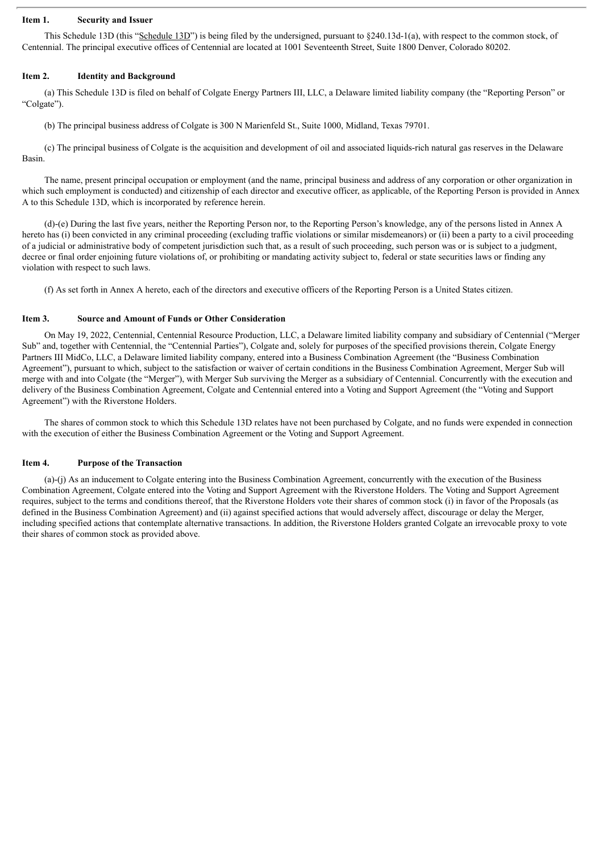#### **Item 1. Security and Issuer**

This Schedule 13D (this "Schedule 13D") is being filed by the undersigned, pursuant to §240.13d-1(a), with respect to the common stock, of Centennial. The principal executive offices of Centennial are located at 1001 Seventeenth Street, Suite 1800 Denver, Colorado 80202.

#### **Item 2. Identity and Background**

(a) This Schedule 13D is filed on behalf of Colgate Energy Partners III, LLC, a Delaware limited liability company (the "Reporting Person" or "Colgate").

(b) The principal business address of Colgate is 300 N Marienfeld St., Suite 1000, Midland, Texas 79701.

(c) The principal business of Colgate is the acquisition and development of oil and associated liquids-rich natural gas reserves in the Delaware Basin.

The name, present principal occupation or employment (and the name, principal business and address of any corporation or other organization in which such employment is conducted) and citizenship of each director and executive officer, as applicable, of the Reporting Person is provided in Annex A to this Schedule 13D, which is incorporated by reference herein.

(d)-(e) During the last five years, neither the Reporting Person nor, to the Reporting Person's knowledge, any of the persons listed in Annex A hereto has (i) been convicted in any criminal proceeding (excluding traffic violations or similar misdemeanors) or (ii) been a party to a civil proceeding of a judicial or administrative body of competent jurisdiction such that, as a result of such proceeding, such person was or is subject to a judgment, decree or final order enjoining future violations of, or prohibiting or mandating activity subject to, federal or state securities laws or finding any violation with respect to such laws.

(f) As set forth in Annex A hereto, each of the directors and executive officers of the Reporting Person is a United States citizen.

#### **Item 3. Source and Amount of Funds or Other Consideration**

On May 19, 2022, Centennial, Centennial Resource Production, LLC, a Delaware limited liability company and subsidiary of Centennial ("Merger Sub" and, together with Centennial, the "Centennial Parties"), Colgate and, solely for purposes of the specified provisions therein, Colgate Energy Partners III MidCo, LLC, a Delaware limited liability company, entered into a Business Combination Agreement (the "Business Combination Agreement"), pursuant to which, subject to the satisfaction or waiver of certain conditions in the Business Combination Agreement, Merger Sub will merge with and into Colgate (the "Merger"), with Merger Sub surviving the Merger as a subsidiary of Centennial. Concurrently with the execution and delivery of the Business Combination Agreement, Colgate and Centennial entered into a Voting and Support Agreement (the "Voting and Support Agreement") with the Riverstone Holders.

The shares of common stock to which this Schedule 13D relates have not been purchased by Colgate, and no funds were expended in connection with the execution of either the Business Combination Agreement or the Voting and Support Agreement.

#### **Item 4. Purpose of the Transaction**

(a)-(j) As an inducement to Colgate entering into the Business Combination Agreement, concurrently with the execution of the Business Combination Agreement, Colgate entered into the Voting and Support Agreement with the Riverstone Holders. The Voting and Support Agreement requires, subject to the terms and conditions thereof, that the Riverstone Holders vote their shares of common stock (i) in favor of the Proposals (as defined in the Business Combination Agreement) and (ii) against specified actions that would adversely affect, discourage or delay the Merger, including specified actions that contemplate alternative transactions. In addition, the Riverstone Holders granted Colgate an irrevocable proxy to vote their shares of common stock as provided above.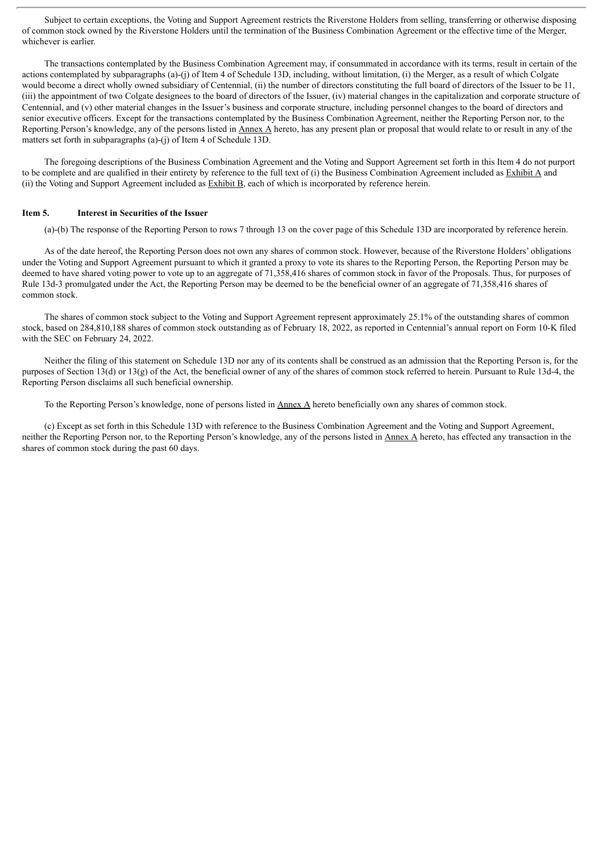Subject to certain exceptions, the Voting and Support Agreement restricts the Riverstone Holders from selling, transferring or otherwise disposing of common stock owned by the Riverstone Holders until the termination of the Business Combination Agreement or the effective time of the Merger, whichever is earlier.

The transactions contemplated by the Business Combination Agreement may, if consummated in accordance with its terms, result in certain of the actions contemplated by subparagraphs (a)-(j) of Item 4 of Schedule 13D, including, without limitation, (i) the Merger, as a result of which Colgate would become a direct wholly owned subsidiary of Centennial, (ii) the number of directors constituting the full board of directors of the Issuer to be 11, (iii) the appointment of two Colgate designees to the board of directors of the Issuer, (iv) material changes in the capitalization and corporate structure of Centennial, and (v) other material changes in the Issuer's business and corporate structure, including personnel changes to the board of directors and senior executive officers. Except for the transactions contemplated by the Business Combination Agreement, neither the Reporting Person nor, to the Reporting Person's knowledge, any of the persons listed in Annex A hereto, has any present plan or proposal that would relate to or result in any of the matters set forth in subparagraphs (a)-(j) of Item 4 of Schedule 13D.

The foregoing descriptions of the Business Combination Agreement and the Voting and Support Agreement set forth in this Item 4 do not purport to be complete and are qualified in their entirety by reference to the full text of (i) the Business Combination Agreement included as Exhibit A and (ii) the Voting and Support Agreement included as  $Exhibit B$ , each of which is incorporated by reference herein.

#### **Item 5. Interest in Securities of the Issuer**

(a)-(b) The response of the Reporting Person to rows 7 through 13 on the cover page of this Schedule 13D are incorporated by reference herein.

As of the date hereof, the Reporting Person does not own any shares of common stock. However, because of the Riverstone Holders' obligations under the Voting and Support Agreement pursuant to which it granted a proxy to vote its shares to the Reporting Person, the Reporting Person may be deemed to have shared voting power to vote up to an aggregate of 71,358,416 shares of common stock in favor of the Proposals. Thus, for purposes of Rule 13d-3 promulgated under the Act, the Reporting Person may be deemed to be the beneficial owner of an aggregate of 71,358,416 shares of common stock.

The shares of common stock subject to the Voting and Support Agreement represent approximately 25.1% of the outstanding shares of common stock, based on 284,810,188 shares of common stock outstanding as of February 18, 2022, as reported in Centennial's annual report on Form 10-K filed with the SEC on February 24, 2022.

Neither the filing of this statement on Schedule 13D nor any of its contents shall be construed as an admission that the Reporting Person is, for the purposes of Section 13(d) or 13(g) of the Act, the beneficial owner of any of the shares of common stock referred to herein. Pursuant to Rule 13d-4, the Reporting Person disclaims all such beneficial ownership.

To the Reporting Person's knowledge, none of persons listed in Annex A hereto beneficially own any shares of common stock.

(c) Except as set forth in this Schedule 13D with reference to the Business Combination Agreement and the Voting and Support Agreement, neither the Reporting Person nor, to the Reporting Person's knowledge, any of the persons listed in Annex A hereto, has effected any transaction in the shares of common stock during the past 60 days.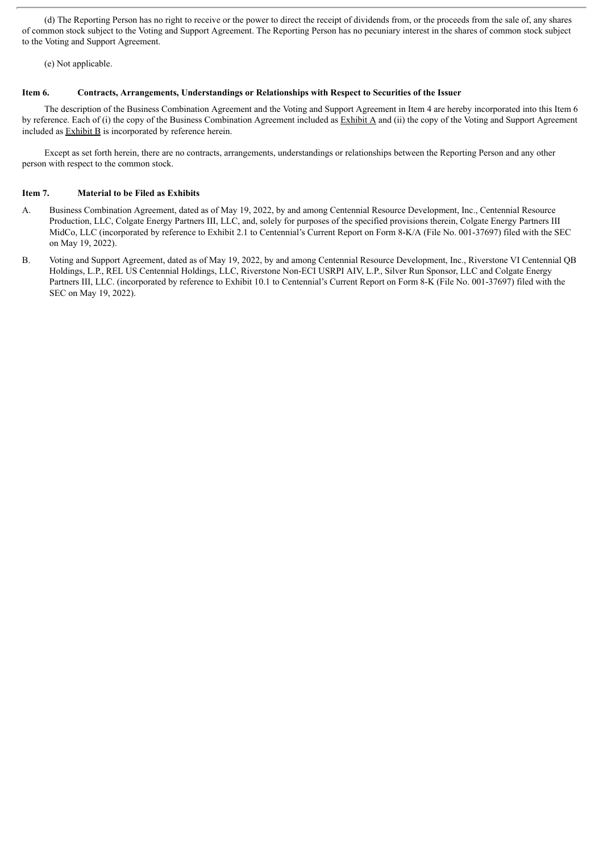(d) The Reporting Person has no right to receive or the power to direct the receipt of dividends from, or the proceeds from the sale of, any shares of common stock subject to the Voting and Support Agreement. The Reporting Person has no pecuniary interest in the shares of common stock subject to the Voting and Support Agreement.

(e) Not applicable.

#### **Item 6. Contracts, Arrangements, Understandings or Relationships with Respect to Securities of the Issuer**

The description of the Business Combination Agreement and the Voting and Support Agreement in Item 4 are hereby incorporated into this Item 6 by reference. Each of (i) the copy of the Business Combination Agreement included as  $\overline{\text{Exhibit A}}$  and (ii) the copy of the Voting and Support Agreement included as Exhibit B is incorporated by reference herein.

Except as set forth herein, there are no contracts, arrangements, understandings or relationships between the Reporting Person and any other person with respect to the common stock.

#### **Item 7. Material to be Filed as Exhibits**

- A. Business Combination Agreement, dated as of May 19, 2022, by and among Centennial Resource Development, Inc., Centennial Resource Production, LLC, Colgate Energy Partners III, LLC, and, solely for purposes of the specified provisions therein, Colgate Energy Partners III MidCo, LLC (incorporated by reference to Exhibit 2.1 to Centennial's Current Report on Form 8-K/A (File No. 001-37697) filed with the SEC on May 19, 2022).
- B. Voting and Support Agreement, dated as of May 19, 2022, by and among Centennial Resource Development, Inc., Riverstone VI Centennial QB Holdings, L.P., REL US Centennial Holdings, LLC, Riverstone Non-ECI USRPI AIV, L.P., Silver Run Sponsor, LLC and Colgate Energy Partners III, LLC. (incorporated by reference to Exhibit 10.1 to Centennial's Current Report on Form 8-K (File No. 001-37697) filed with the SEC on May 19, 2022).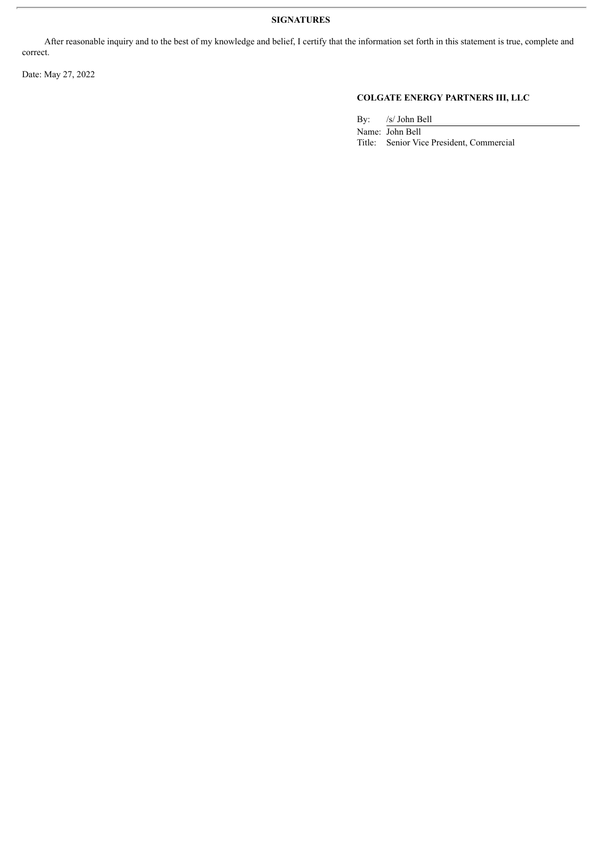### **SIGNATURES**

After reasonable inquiry and to the best of my knowledge and belief, I certify that the information set forth in this statement is true, complete and correct.

Date: May 27, 2022

## **COLGATE ENERGY PARTNERS III, LLC**

By: /s/ John Bell

Name: John Bell Title: Senior Vice President, Commercial